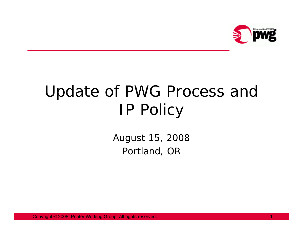

## Update of PWG Process and IP Policy

August 15, 2008 Portland, OR

Copyright © 2008, Printer Working Group. All rights reserved. 1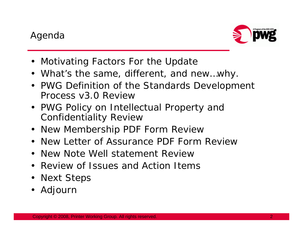

- Motivating Factors For the Update
- What's the same, different, and new…why.
- PWG Definition of the Standards Development Process v3.0 Review
- PWG Policy on Intellectual Property and Confidentiality Review
- New Membership PDF Form Review
- New Letter of Assurance PDF Form Review
- New Note Well statement Review
- $\bullet$ Review of Issues and Action Items
- $\bullet$ Next Steps
- Adjourn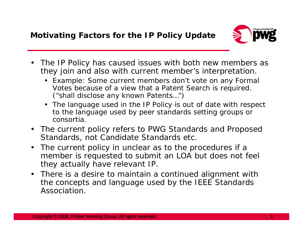

- • The IP Policy has caused issues with both new members as they join and also with current member's interpretation.
	- Example: Some current members don't vote on any Formal Votes because of a view that a Patent Search is required. ("shall disclose any known Patents…")
	- The language used in the IP Policy is out of date with respect to the language used by peer standards setting groups or consortia.
- The current policy refers to PWG Standards and Proposed Standards, not Candidate Standards etc.
- The current policy in unclear as to the procedures if a member is requested to submit an LOA but does not feel they actually have relevant IP.
- There is a desire to maintain a continued alignment with the concepts and language used by the IEEE Standards Association.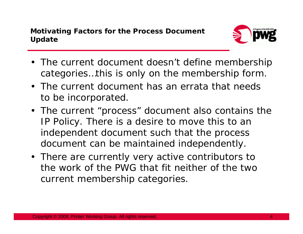

- The current document doesn't define membership categories…this is only on the membership form.
- The current document has an errata that needs to be incorporated.
- The current "process" document also contains the IP Policy. There is a desire to move this to an independent document such that the process document can be maintained independently.
- There are currently very active contributors to the work of the PWG that fit neither of the two current membership categories.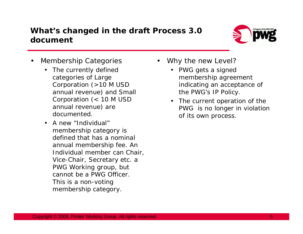## **What's changed in the draft Process 3.0 document**

- • Membership Categories
	- • The currently defined categories of Large Corporation (>10 M USD annual revenue) and Small Corporation (< 10 M USD annual revenue) are documented.
	- A new "Individual" membership category is defined that has a nominal annual membership fee. An Individual member can Chair, Vice-Chair, Secretary etc. a PWG Working group, but cannot be a PWG Officer. This is a non-voting membership category.
- • Why the new Level?
	- • PWG gets a signed membership agreement indicating an acceptance of the PWG's IP Policy.
	- $\bullet$  The current operation of the PWG is no longer in violation of its own process.

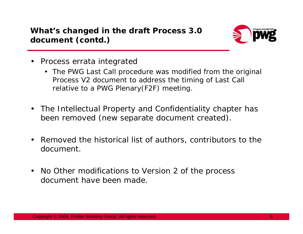

- Process errata integrated
	- The PWG Last Call procedure was modified from the original Process V2 document to address the timing of Last Call relative to a PWG Plenary(F2F) meeting.
- The Intellectual Property and Confidentiality chapter has been removed (new separate document created).
- $\bullet$  Removed the historical list of authors, contributors to the document.
- $\bullet$  No Other modifications to Version 2 of the process document have been made.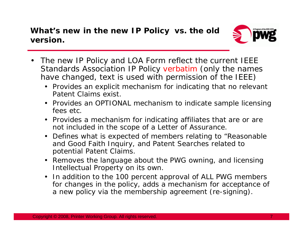## **What's new in the new IP Policy vs. the old version.**



- The new IP Policy and LOA Form reflect the current IEEE Standards Association IP Policy verbatim (only the names have changed, text is used with permission of the IEEE)
	- Provides an explicit mechanism for indicating that no relevant Patent Claims exist.
	- Provides an OPTIONAL mechanism to indicate sample licensing fees etc.
	- Provides a mechanism for indicating affiliates that are or are not included in the scope of a Letter of Assurance.
	- Defines what is expected of members relating to "Reasonable and Good Faith Inquiry, and Patent Searches related to potential Patent Claims.
	- Removes the language about the PWG owning, and licensing Intellectual Property on its own.
	- In addition to the 100 percent approval of ALL PWG members for changes in the policy, adds a mechanism for acceptance of a new policy via the membership agreement (re-signing).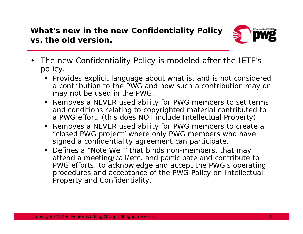**What's new in the new Confidentiality Policy vs. the old version.**



- • The new Confidentiality Policy is modeled after the IETF's policy.
	- Provides explicit language about what is, and is not considered a contribution to the PWG and how such a contribution may or may not be used in the PWG.
	- Removes a NEVER used ability for PWG members to set terms and conditions relating to copyrighted material contributed to a PWG effort. (this does NOT include Intellectual Property)
	- Removes a NEVER used ability for PWG members to create a "closed PWG project" where only PWG members who have signed a confidentiality agreement can participate.
	- Defines a "Note Well" that binds non-members, that may attend a meeting/call/etc. and participate and contribute to PWG efforts, to acknowledge and accept the PWG's operating procedures and acceptance of the PWG Policy on Intellectual Property and Confidentiality.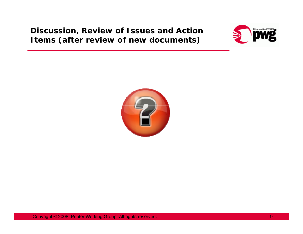**Discussion, Review of Issues and Action Items (after review of new documents)**